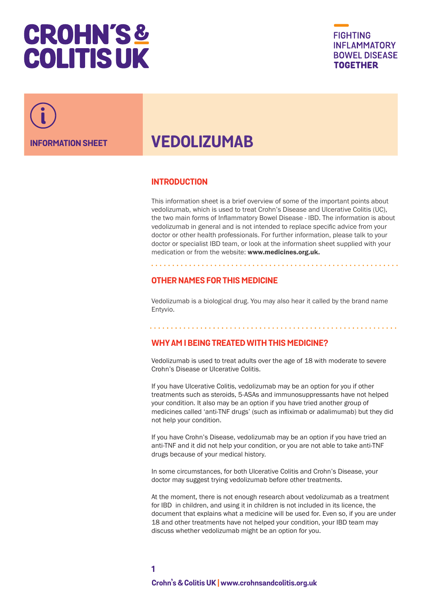# **CROHN'S& COLITIS UK**





# **VEDOLIZUMAB**

#### **INTRODUCTION**

This information sheet is a brief overview of some of the important points about vedolizumab, which is used to treat Crohn's Disease and Ulcerative Colitis (UC), the two main forms of Inflammatory Bowel Disease - IBD. The information is about vedolizumab in general and is not intended to replace specific advice from your doctor or other health professionals. For further information, please talk to your doctor or specialist IBD team, or look at the information sheet supplied with your medication or from the website: www.medicines.org.uk.

# **OTHER NAMES FOR THIS MEDICINE**

Vedolizumab is a biological drug. You may also hear it called by the brand name Entyvio.

# **WHY AM I BEING TREATED WITH THIS MEDICINE?**

Vedolizumab is used to treat adults over the age of 18 with moderate to severe Crohn's Disease or Ulcerative Colitis.

If you have Ulcerative Colitis, vedolizumab may be an option for you if other treatments such as steroids, 5-ASAs and immunosuppressants have not helped your condition. It also may be an option if you have tried another group of medicines called 'anti-TNF drugs' (such as infliximab or adalimumab) but they did not help your condition.

If you have Crohn's Disease, vedolizumab may be an option if you have tried an anti-TNF and it did not help your condition, or you are not able to take anti-TNF drugs because of your medical history.

In some circumstances, for both Ulcerative Colitis and Crohn's Disease, your doctor may suggest trying vedolizumab before other treatments.

At the moment, there is not enough research about vedolizumab as a treatment for IBD in children, and using it in children is not included in its licence, the document that explains what a medicine will be used for. Even so, if you are under 18 and other treatments have not helped your condition, your IBD team may discuss whether vedolizumab might be an option for you.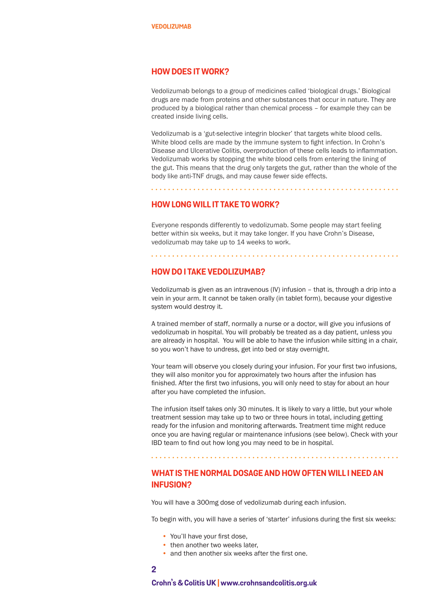#### **HOW DOES IT WORK?**

Vedolizumab belongs to a group of medicines called 'biological drugs.' Biological drugs are made from proteins and other substances that occur in nature. They are produced by a biological rather than chemical process – for example they can be created inside living cells.

Vedolizumab is a 'gut-selective integrin blocker' that targets white blood cells. White blood cells are made by the immune system to fight infection. In Crohn's Disease and Ulcerative Colitis, overproduction of these cells leads to inflammation. Vedolizumab works by stopping the white blood cells from entering the lining of the gut. This means that the drug only targets the gut, rather than the whole of the body like anti-TNF drugs, and may cause fewer side effects.

#### **HOW LONG WILL IT TAKE TO WORK?**

Everyone responds differently to vedolizumab. Some people may start feeling better within six weeks, but it may take longer. If you have Crohn's Disease, vedolizumab may take up to 14 weeks to work.

#### **HOW DO I TAKE VEDOLIZUMAB?**

Vedolizumab is given as an intravenous (IV) infusion – that is, through a drip into a vein in your arm. It cannot be taken orally (in tablet form), because your digestive system would destroy it.

A trained member of staff, normally a nurse or a doctor, will give you infusions of vedolizumab in hospital. You will probably be treated as a day patient, unless you are already in hospital. You will be able to have the infusion while sitting in a chair, so you won't have to undress, get into bed or stay overnight.

Your team will observe you closely during your infusion. For your first two infusions, they will also monitor you for approximately two hours after the infusion has finished. After the first two infusions, you will only need to stay for about an hour after you have completed the infusion.

The infusion itself takes only 30 minutes. It is likely to vary a little, but your whole treatment session may take up to two or three hours in total, including getting ready for the infusion and monitoring afterwards. Treatment time might reduce once you are having regular or maintenance infusions (see below). Check with your IBD team to find out how long you may need to be in hospital.

# **WHAT IS THE NORMAL DOSAGE AND HOW OFTEN WILL I NEED AN INFUSION?**

You will have a 300mg dose of vedolizumab during each infusion.

To begin with, you will have a series of 'starter' infusions during the first six weeks:

- You'll have your first dose,
- then another two weeks later.
- and then another six weeks after the first one.
- **2**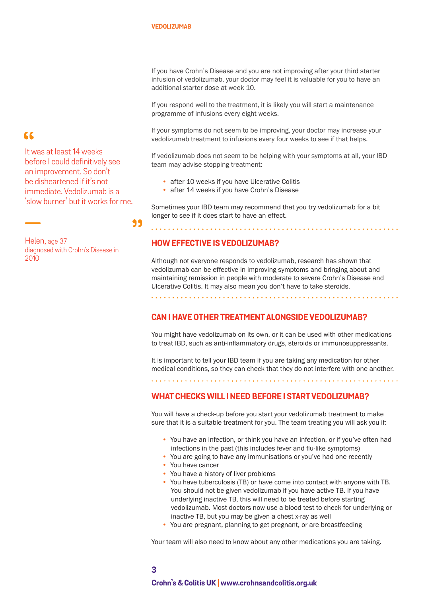If you have Crohn's Disease and you are not improving after your third starter infusion of vedolizumab, your doctor may feel it is valuable for you to have an additional starter dose at week 10.

If you respond well to the treatment, it is likely you will start a maintenance programme of infusions every eight weeks.

If your symptoms do not seem to be improving, your doctor may increase your vedolizumab treatment to infusions every four weeks to see if that helps.

If vedolizumab does not seem to be helping with your symptoms at all, your IBD team may advise stopping treatment:

- after 10 weeks if you have Ulcerative Colitis
- after 14 weeks if you have Crohn's Disease

Sometimes your IBD team may recommend that you try vedolizumab for a bit longer to see if it does start to have an effect.

#### **HOW EFFECTIVE IS VEDOLIZUMAB?**

Although not everyone responds to vedolizumab, research has shown that vedolizumab can be effective in improving symptoms and bringing about and maintaining remission in people with moderate to severe Crohn's Disease and Ulcerative Colitis. It may also mean you don't have to take steroids.

#### **CAN I HAVE OTHER TREATMENT ALONGSIDE VEDOLIZUMAB?**

You might have vedolizumab on its own, or it can be used with other medications to treat IBD, such as anti-inflammatory drugs, steroids or immunosuppressants.

It is important to tell your IBD team if you are taking any medication for other medical conditions, so they can check that they do not interfere with one another.

**WHAT CHECKS WILL I NEED BEFORE I START VEDOLIZUMAB?**

You will have a check-up before you start your vedolizumab treatment to make sure that it is a suitable treatment for you. The team treating you will ask you if:

- You have an infection, or think you have an infection, or if you've often had infections in the past (this includes fever and flu-like symptoms)
- You are going to have any immunisations or you've had one recently
- You have cancer
- You have a history of liver problems
- You have tuberculosis (TB) or have come into contact with anyone with TB. You should not be given vedolizumab if you have active TB. If you have underlying inactive TB, this will need to be treated before starting vedolizumab. Most doctors now use a blood test to check for underlying or inactive TB, but you may be given a chest x-ray as well
- You are pregnant, planning to get pregnant, or are breastfeeding

Your team will also need to know about any other medications you are taking.

# $66$

It was at least 14 weeks before I could definitively see an improvement. So don't be disheartened if it's not immediate. Vedolizumab is a 'slow burner' but it works for me.

99

Helen, age 37 diagnosed with Crohn's Disease in 2010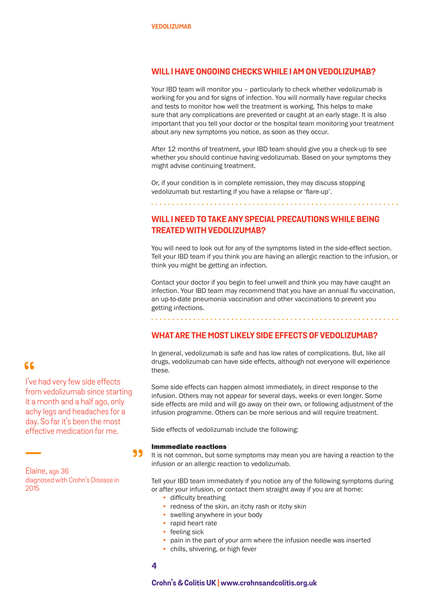#### **WILL I HAVE ONGOING CHECKS WHILE I AM ON VEDOLIZUMAB?**

Your IBD team will monitor you – particularly to check whether vedolizumab is working for you and for signs of infection. You will normally have regular checks and tests to monitor how well the treatment is working. This helps to make sure that any complications are prevented or caught at an early stage. It is also important that you tell your doctor or the hospital team monitoring your treatment about any new symptoms you notice, as soon as they occur.

After 12 months of treatment, your IBD team should give you a check-up to see whether you should continue having vedolizumab. Based on your symptoms they might advise continuing treatment.

Or, if your condition is in complete remission, they may discuss stopping vedolizumab but restarting if you have a relapse or 'flare-up'.

# **WILL I NEED TO TAKE ANY SPECIAL PRECAUTIONS WHILE BEING TREATED WITH VEDOLIZUMAB?**

You will need to look out for any of the symptoms listed in the side-effect section. Tell your IBD team if you think you are having an allergic reaction to the infusion, or think you might be getting an infection.

Contact your doctor if you begin to feel unwell and think you may have caught an infection. Your IBD team may recommend that you have an annual flu vaccination, an up-to-date pneumonia vaccination and other vaccinations to prevent you getting infections.

# **WHAT ARE THE MOST LIKELY SIDE EFFECTS OF VEDOLIZUMAB?**

In general, vedolizumab is safe and has low rates of complications. But, like all drugs, vedolizumab can have side effects, although not everyone will experience these.

Some side effects can happen almost immediately, in direct response to the infusion. Others may not appear for several days, weeks or even longer. Some side effects are mild and will go away on their own, or following adjustment of the infusion programme. Others can be more serious and will require treatment.

Side effects of vedolizumab include the following:

#### Immmediate reactions

It is not common, but some symptoms may mean you are having a reaction to the infusion or an allergic reaction to vedolizumab.

Tell your IBD team immediately if you notice any of the following symptoms during or after your infusion, or contact them straight away if you are at home:

- difficulty breathing
- redness of the skin, an itchy rash or itchy skin
- swelling anywhere in your body
- rapid heart rate
- feeling sick
- pain in the part of your arm where the infusion needle was inserted
- chills, shivering, or high fever
- **4**

99

#### **Crohn's & Colitis UK | www.crohnsandcolitis.org.uk**

#### 66

I've had very few side effects from vedolizumab since starting it a month and a half ago, only achy legs and headaches for a day. So far it's been the most effective medication for me.

Elaine, age 36 diagnosed with Crohn's Disease in 2015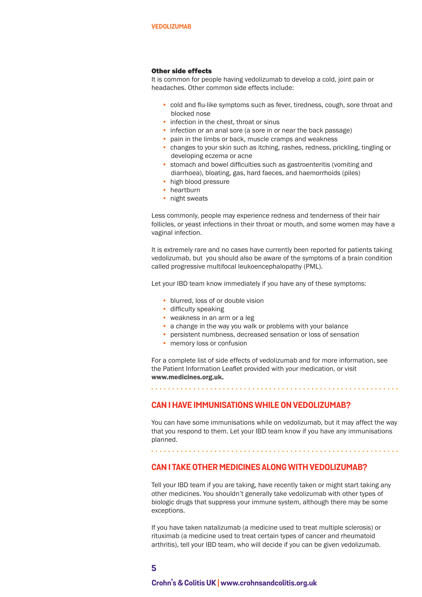#### Other side effects

It is common for people having vedolizumab to develop a cold, joint pain or headaches. Other common side effects include:

- cold and flu-like symptoms such as fever, tiredness, cough, sore throat and blocked nose
- infection in the chest, throat or sinus
- infection or an anal sore (a sore in or near the back passage)
- pain in the limbs or back, muscle cramps and weakness
- changes to your skin such as itching, rashes, redness, prickling, tingling or developing eczema or acne
- stomach and bowel difficulties such as gastroenteritis (vomiting and diarrhoea), bloating, gas, hard faeces, and haemorrhoids (piles)
- high blood pressure
- heartburn
- night sweats

Less commonly, people may experience redness and tenderness of their hair follicles, or yeast infections in their throat or mouth, and some women may have a vaginal infection.

It is extremely rare and no cases have currently been reported for patients taking vedolizumab, but you should also be aware of the symptoms of a brain condition called progressive multifocal leukoencephalopathy (PML).

Let your IBD team know immediately if you have any of these symptoms:

- blurred, loss of or double vision
- difficulty speaking
- weakness in an arm or a leg
- a change in the way you walk or problems with your balance
- persistent numbness, decreased sensation or loss of sensation
- memory loss or confusion

For a complete list of side effects of vedolizumab and for more information, see the Patient Information Leaflet provided with your medication, or visit www.medicines.org.uk.

#### **CAN I HAVE IMMUNISATIONS WHILE ON VEDOLIZUMAB?**

You can have some immunisations while on vedolizumab, but it may affect the way that you respond to them. Let your IBD team know if you have any immunisations planned.

### **CAN I TAKE OTHER MEDICINES ALONG WITH VEDOLIZUMAB?**

Tell your IBD team if you are taking, have recently taken or might start taking any other medicines. You shouldn't generally take vedolizumab with other types of biologic drugs that suppress your immune system, although there may be some exceptions.

If you have taken natalizumab (a medicine used to treat multiple sclerosis) or rituximab (a medicine used to treat certain types of cancer and rheumatoid arthritis), tell your IBD team, who will decide if you can be given vedolizumab.

**5**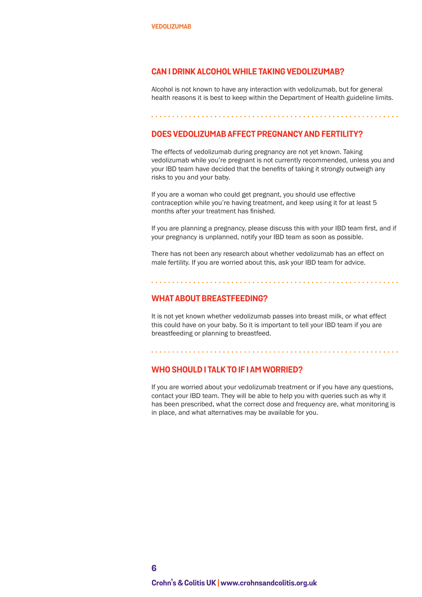#### **CAN I DRINK ALCOHOL WHILE TAKING VEDOLIZUMAB?**

Alcohol is not known to have any interaction with vedolizumab, but for general health reasons it is best to keep within the Department of Health guideline limits.

#### **DOES VEDOLIZUMAB AFFECT PREGNANCY AND FERTILITY?**

The effects of vedolizumab during pregnancy are not yet known. Taking vedolizumab while you're pregnant is not currently recommended, unless you and your IBD team have decided that the benefits of taking it strongly outweigh any risks to you and your baby.

If you are a woman who could get pregnant, you should use effective contraception while you're having treatment, and keep using it for at least 5 months after your treatment has finished.

If you are planning a pregnancy, please discuss this with your IBD team first, and if your pregnancy is unplanned, notify your IBD team as soon as possible.

There has not been any research about whether vedolizumab has an effect on male fertility. If you are worried about this, ask your IBD team for advice.

#### **WHAT ABOUT BREASTFEEDING?**

It is not yet known whether vedolizumab passes into breast milk, or what effect this could have on your baby. So it is important to tell your IBD team if you are breastfeeding or planning to breastfeed.

#### **WHO SHOULD I TALK TO IF I AM WORRIED?**

If you are worried about your vedolizumab treatment or if you have any questions, contact your IBD team. They will be able to help you with queries such as why it has been prescribed, what the correct dose and frequency are, what monitoring is in place, and what alternatives may be available for you.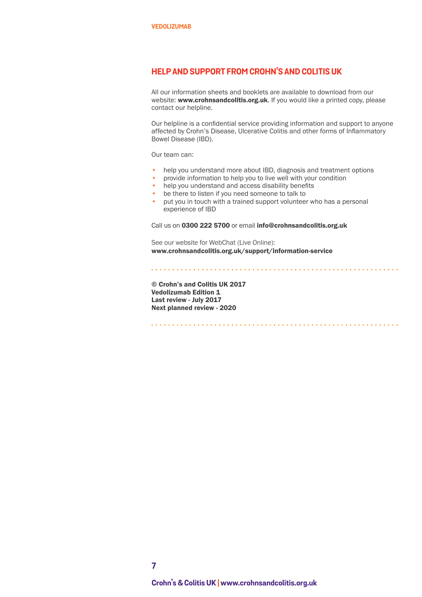### **HELP AND SUPPORT FROM CROHN'S AND COLITIS UK**

All our information sheets and booklets are available to download from our website: www.crohnsandcolitis.org.uk. If you would like a printed copy, please contact our helpline.

Our helpline is a confidential service providing information and support to anyone affected by Crohn's Disease, Ulcerative Colitis and other forms of Inflammatory Bowel Disease (IBD).

Our team can:

- help you understand more about IBD, diagnosis and treatment options
- provide information to help you to live well with your condition
- help you understand and access disability benefits
- be there to listen if you need someone to talk to
- put you in touch with a trained support volunteer who has a personal experience of IBD

Call us on 0300 222 5700 or email info@crohnsandcolitis.org.uk

See our website for WebChat (Live Online): www.crohnsandcolitis.org.uk/support/information-service

© Crohn's and Colitis UK 2017 Vedolizumab Edition 1 Last review - July 2017 Next planned review - 2020